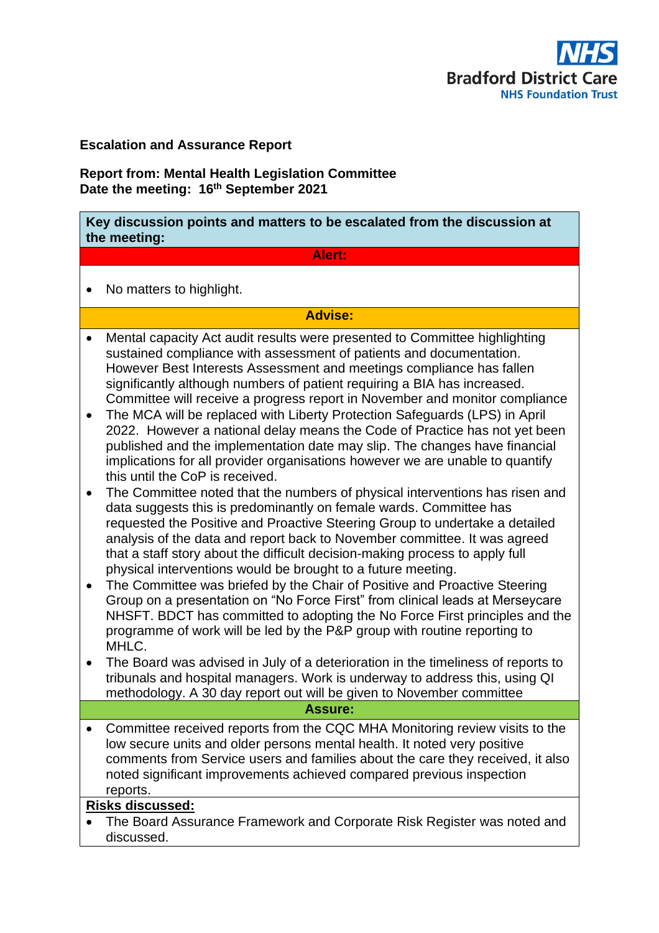

## **Escalation and Assurance Report**

**Report from: Mental Health Legislation Committee Date the meeting: 16th September 2021**

**Key discussion points and matters to be escalated from the discussion at the meeting:**

## **Alert:**

• No matters to highlight.

## **Advise:**

- Mental capacity Act audit results were presented to Committee highlighting sustained compliance with assessment of patients and documentation. However Best Interests Assessment and meetings compliance has fallen significantly although numbers of patient requiring a BIA has increased. Committee will receive a progress report in November and monitor compliance
- The MCA will be replaced with Liberty Protection Safeguards (LPS) in April 2022. However a national delay means the Code of Practice has not yet been published and the implementation date may slip. The changes have financial implications for all provider organisations however we are unable to quantify this until the CoP is received.
- The Committee noted that the numbers of physical interventions has risen and data suggests this is predominantly on female wards. Committee has requested the Positive and Proactive Steering Group to undertake a detailed analysis of the data and report back to November committee. It was agreed that a staff story about the difficult decision-making process to apply full physical interventions would be brought to a future meeting.
- The Committee was briefed by the Chair of Positive and Proactive Steering Group on a presentation on "No Force First" from clinical leads at Merseycare NHSFT. BDCT has committed to adopting the No Force First principles and the programme of work will be led by the P&P group with routine reporting to MHLC.
- The Board was advised in July of a deterioration in the timeliness of reports to tribunals and hospital managers. Work is underway to address this, using QI methodology. A 30 day report out will be given to November committee

#### **Assure:**

• Committee received reports from the CQC MHA Monitoring review visits to the low secure units and older persons mental health. It noted very positive comments from Service users and families about the care they received, it also noted significant improvements achieved compared previous inspection reports.

# **Risks discussed:**

• The Board Assurance Framework and Corporate Risk Register was noted and discussed.